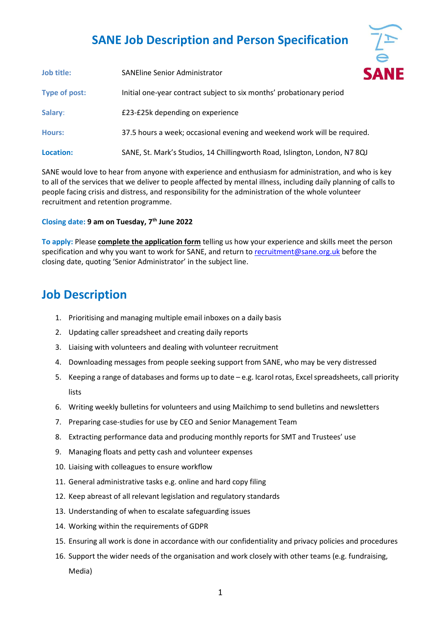## **SANE Job Description and Person Specification**

NF

| Job title:    | <b>SANEline Senior Administrator</b>                                       |  |  |
|---------------|----------------------------------------------------------------------------|--|--|
| Type of post: | Initial one-year contract subject to six months' probationary period       |  |  |
| Salary:       | £23-£25k depending on experience                                           |  |  |
| <b>Hours:</b> | 37.5 hours a week; occasional evening and weekend work will be required.   |  |  |
| Location:     | SANE, St. Mark's Studios, 14 Chillingworth Road, Islington, London, N7 8QJ |  |  |

SANE would love to hear from anyone with experience and enthusiasm for administration, and who is key to all of the services that we deliver to people affected by mental illness, including daily planning of calls to people facing crisis and distress, and responsibility for the administration of the whole volunteer recruitment and retention programme.

## **Closing date: 9 am on Tuesday, 7th June 2022**

**To apply:** Please **complete the application form** telling us how your experience and skills meet the person specification and why you want to work for SANE, and return to [recruitment@sane.org.uk](mailto:recruitment@sane.org.uk) before the closing date, quoting 'Senior Administrator' in the subject line.

## **Job Description**

- 1. Prioritising and managing multiple email inboxes on a daily basis
- 2. Updating caller spreadsheet and creating daily reports
- 3. Liaising with volunteers and dealing with volunteer recruitment
- 4. Downloading messages from people seeking support from SANE, who may be very distressed
- 5. Keeping a range of databases and forms up to date e.g. Icarol rotas, Excel spreadsheets, call priority lists
- 6. Writing weekly bulletins for volunteers and using Mailchimp to send bulletins and newsletters
- 7. Preparing case-studies for use by CEO and Senior Management Team
- 8. Extracting performance data and producing monthly reports for SMT and Trustees' use
- 9. Managing floats and petty cash and volunteer expenses
- 10. Liaising with colleagues to ensure workflow
- 11. General administrative tasks e.g. online and hard copy filing
- 12. Keep abreast of all relevant legislation and regulatory standards
- 13. Understanding of when to escalate safeguarding issues
- 14. Working within the requirements of GDPR
- 15. Ensuring all work is done in accordance with our confidentiality and privacy policies and procedures
- 16. Support the wider needs of the organisation and work closely with other teams (e.g. fundraising, Media)